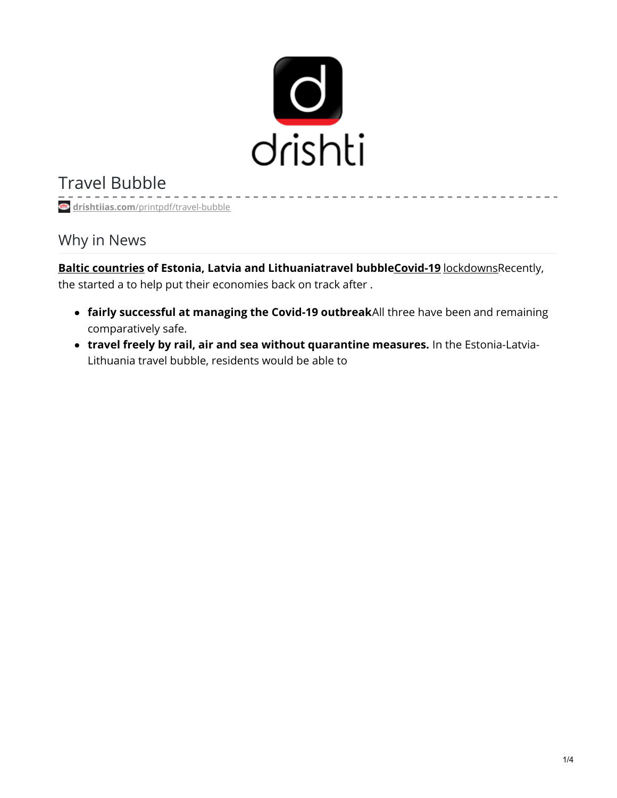

Travel Bubble

**drishtiias.com**[/printpdf/travel-bubble](https://www.drishtiias.com/printpdf/travel-bubble)

Why in News

**Baltic [countries](https://www.drishtiias.com/daily-updates/daily-news-analysis/baltic-nations) of Estonia, Latvia and Lithuaniatravel bubbl[eCovid-19](https://www.drishtiias.com/daily-updates/daily-news-analysis/coronavirus-disease-named-covid-19)** [lockdowns](https://www.drishtiias.com/daily-updates/daily-news-analysis/21-days-lockdown)Recently, the started a to help put their economies back on track after .

- **fairly successful at managing the Covid-19 outbreak**All three have been and remaining comparatively safe.
- **travel freely by rail, air and sea without quarantine measures.** In the Estonia-Latvia-Lithuania travel bubble, residents would be able to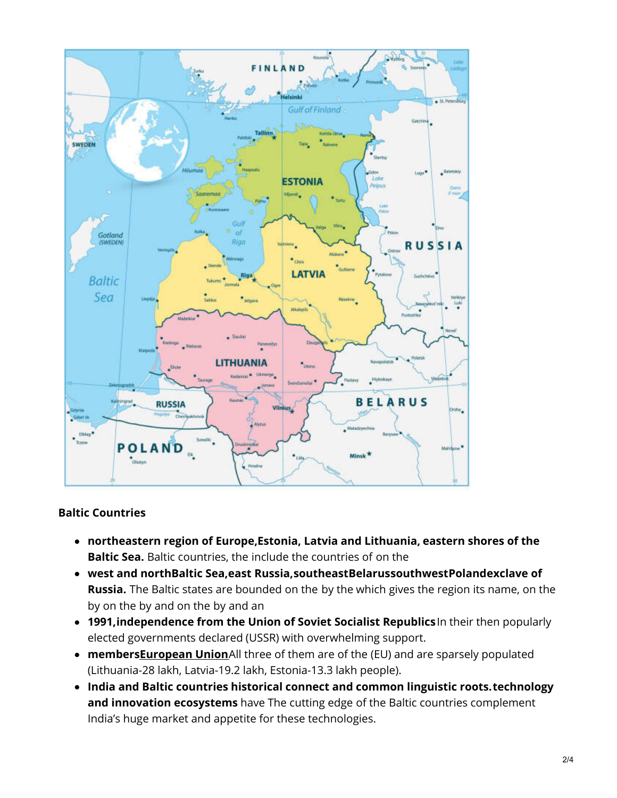

## **Baltic Countries**

- **northeastern region of Europe,Estonia, Latvia and Lithuania, eastern shores of the Baltic Sea.** Baltic countries, the include the countries of on the
- **west and northBaltic Sea,east Russia,southeastBelarussouthwestPolandexclave of Russia.** The Baltic states are bounded on the by the which gives the region its name, on the by on the by and on the by and an
- **1991,independence from the Union of Soviet Socialist Republics**In their then popularly elected governments declared (USSR) with overwhelming support.
- **members[European](https://www.drishtiias.com/important-institutions/drishti-specials-important-institutions-international-institution/european-union) Union**All three of them are of the (EU) and are sparsely populated (Lithuania-28 lakh, Latvia-19.2 lakh, Estonia-13.3 lakh people).
- **India and Baltic countries historical connect and common linguistic roots.technology and innovation ecosystems** have The cutting edge of the Baltic countries complement India's huge market and appetite for these technologies.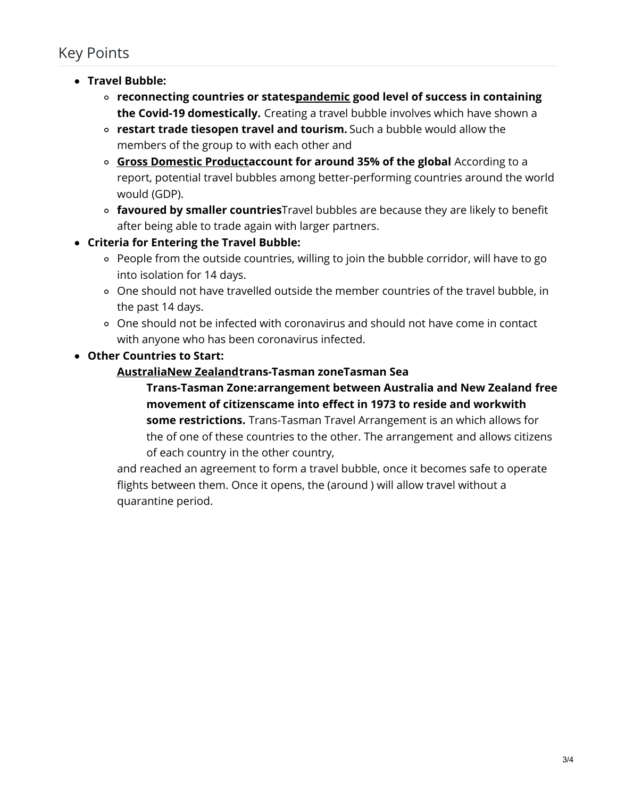## Key Points

- **Travel Bubble:**
	- **reconnecting countries or state[spandemic](https://www.drishtiias.com/daily-updates/daily-news-analysis/covid-19-now-pandemic-who) good level of success in containing the Covid-19 domestically.** Creating a travel bubble involves which have shown a
	- **restart trade tiesopen travel and tourism.** Such a bubble would allow the members of the group to with each other and
	- **Gross [Domestic](https://www.drishtiias.com/daily-updates/daily-news-analysis/gdp-growth) Productaccount for around 35% of the global** According to a report, potential travel bubbles among better-performing countries around the world would (GDP).
	- **favoured by smaller countries**Travel bubbles are because they are likely to benefit after being able to trade again with larger partners.
- **Criteria for Entering the Travel Bubble:**
	- People from the outside countries, willing to join the bubble corridor, will have to go into isolation for 14 days.
	- One should not have travelled outside the member countries of the travel bubble, in the past 14 days.
	- One should not be infected with coronavirus and should not have come in contact with anyone who has been coronavirus infected.

**Other Countries to Start:**

## **[Australia](https://www.drishtiias.com/daily-updates/daily-news-analysis/pitch-black)New [Zealand](https://www.drishtiias.com/daily-updates/daily-news-analysis/india-new-zealand)trans-Tasman zoneTasman Sea**

**Trans-Tasman Zone:arrangement between Australia and New Zealand free movement of citizenscame into effect in 1973 to reside and workwith some restrictions.** Trans-Tasman Travel Arrangement is an which allows for the of one of these countries to the other. The arrangement and allows citizens of each country in the other country,

and reached an agreement to form a travel bubble, once it becomes safe to operate flights between them. Once it opens, the (around ) will allow travel without a quarantine period.